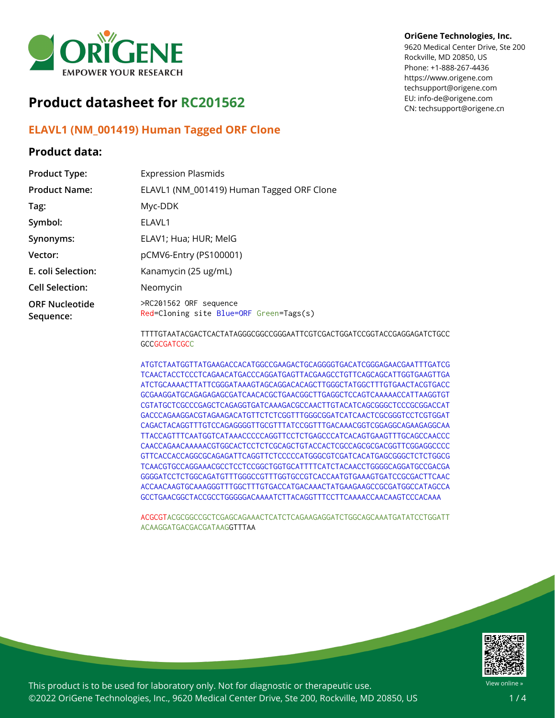

# **Product datasheet for RC201562**

## **ELAVL1 (NM\_001419) Human Tagged ORF Clone**

### **Product data:**

### **OriGene Technologies, Inc.**

9620 Medical Center Drive, Ste 200 Rockville, MD 20850, US Phone: +1-888-267-4436 https://www.origene.com techsupport@origene.com EU: info-de@origene.com CN: techsupport@origene.cn

| <b>Product Type:</b>               | <b>Expression Plasmids</b>                                        |
|------------------------------------|-------------------------------------------------------------------|
| <b>Product Name:</b>               | ELAVL1 (NM_001419) Human Tagged ORF Clone                         |
| Tag:                               | Myc-DDK                                                           |
| Symbol:                            | ELAVL1                                                            |
| Synonyms:                          | ELAV1; Hua; HUR; MelG                                             |
| Vector:                            | pCMV6-Entry (PS100001)                                            |
| E. coli Selection:                 | Kanamycin (25 ug/mL)                                              |
| <b>Cell Selection:</b>             | Neomycin                                                          |
| <b>ORF Nucleotide</b><br>Sequence: | >RC201562 ORF sequence<br>Red=Cloning site Blue=ORF Green=Tags(s) |
|                                    | TTTTCT LLT LOC LOTO LOT LT LOCOCOCOCOCOL LTTOCTOC LOTOCLTOCOC'    |

TTTTGTAATACGACTCACTATAGGGCGGCCGGGAATTCGTCGACTGGATCCGGTACCGAGGAGATCTGCC **GCCGCGATCGCC** 

ATGTCTAATGGTTATGAAGACCACATGGCCGAAGACTGCAGGGGTGACATCGGGAGAACGAATTTGATCG TCAACTACCTCCCTCAGAACATGACCCAGGATGAGTTACGAAGCCTGTTCAGCAGCATTGGTGAAGTTGA ATCTGCAAAACTTATTCGGGATAAAGTAGCAGGACACAGCTTGGGCTATGGCTTTGTGAACTACGTGACC GCGAAGGATGCAGAGAGAGCGATCAACACGCTGAACGGCTTGAGGCTCCAGTCAAAAACCATTAAGGTGT CGTATGCTCGCCCGAGCTCAGAGGTGATCAAAGACGCCAACTTGTACATCAGCGGGCTCCCGCGGACCAT GACCCAGAAGGACGTAGAAGACATGTTCTCTCGGTTTGGGCGGATCATCAACTCGCGGGTCCTCGTGGAT CAGACTACAGGTTTGTCCAGAGGGGTTGCGTTTATCCGGTTTGACAAACGGTCGGAGGCAGAAGAGGCAA TTACCAGTTTCAATGGTCATAAACCCCCAGGTTCCTCTGAGCCCATCACAGTGAAGTTTGCAGCCAACCC CAACCAGAACAAAAACGTGGCACTCCTCTCGCAGCTGTACCACTCGCCAGCGCGACGGTTCGGAGGCCCC GTTCACCACCAGGCGCAGAGATTCAGGTTCTCCCCCATGGGCGTCGATCACATGAGCGGGCTCTCTGGCG TCAACGTGCCAGGAAACGCCTCCTCCGGCTGGTGCATTTTCATCTACAACCTGGGGCAGGATGCCGACGA GGGGATCCTCTGGCAGATGTTTGGGCCGTTTGGTGCCGTCACCAATGTGAAAGTGATCCGCGACTTCAAC ACCAACAAGTGCAAAGGGTTTGGCTTTGTGACCATGACAAACTATGAAGAAGCCGCGATGGCCATAGCCA GCCTGAACGGCTACCGCCTGGGGGACAAAATCTTACAGGTTTCCTTCAAAACCAACAAGTCCCACAAA

ACGCGTACGCGGCCGCTCGAGCAGAAACTCATCTCAGAAGAGGATCTGGCAGCAAATGATATCCTGGATT ACAAGGATGACGACGATAAGGTTTAA



This product is to be used for laboratory only. Not for diagnostic or therapeutic use. ©2022 OriGene Technologies, Inc., 9620 Medical Center Drive, Ste 200, Rockville, MD 20850, US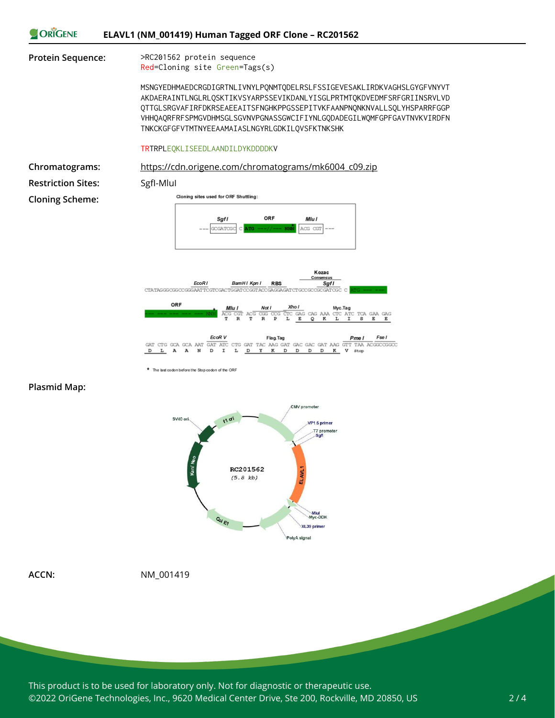



\* The last codon before the Stop codon of the ORF

### **Plasmid Map:**



**ACCN:** NM\_001419

This product is to be used for laboratory only. Not for diagnostic or therapeutic use. ©2022 OriGene Technologies, Inc., 9620 Medical Center Drive, Ste 200, Rockville, MD 20850, US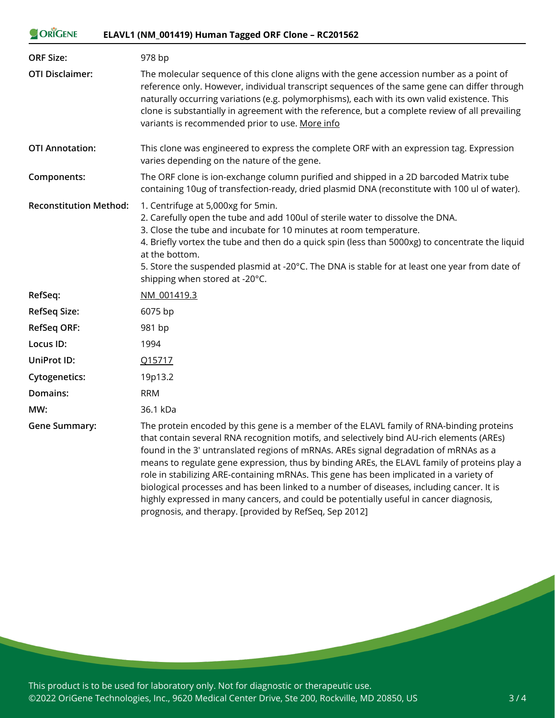#### ORIGENE **ELAVL1 (NM\_001419) Human Tagged ORF Clone – RC201562**

| <b>ORF Size:</b>              | 978 bp                                                                                                                                                                                                                                                                                                                                                                                                                                                                   |
|-------------------------------|--------------------------------------------------------------------------------------------------------------------------------------------------------------------------------------------------------------------------------------------------------------------------------------------------------------------------------------------------------------------------------------------------------------------------------------------------------------------------|
| <b>OTI Disclaimer:</b>        | The molecular sequence of this clone aligns with the gene accession number as a point of<br>reference only. However, individual transcript sequences of the same gene can differ through<br>naturally occurring variations (e.g. polymorphisms), each with its own valid existence. This<br>clone is substantially in agreement with the reference, but a complete review of all prevailing<br>variants is recommended prior to use. More info                           |
| <b>OTI Annotation:</b>        | This clone was engineered to express the complete ORF with an expression tag. Expression<br>varies depending on the nature of the gene.                                                                                                                                                                                                                                                                                                                                  |
| Components:                   | The ORF clone is ion-exchange column purified and shipped in a 2D barcoded Matrix tube<br>containing 10ug of transfection-ready, dried plasmid DNA (reconstitute with 100 ul of water).                                                                                                                                                                                                                                                                                  |
| <b>Reconstitution Method:</b> | 1. Centrifuge at 5,000xg for 5min.<br>2. Carefully open the tube and add 100ul of sterile water to dissolve the DNA.<br>3. Close the tube and incubate for 10 minutes at room temperature.<br>4. Briefly vortex the tube and then do a quick spin (less than 5000xg) to concentrate the liquid<br>at the bottom.<br>5. Store the suspended plasmid at -20°C. The DNA is stable for at least one year from date of<br>shipping when stored at -20°C.                      |
| RefSeq:                       | NM 001419.3                                                                                                                                                                                                                                                                                                                                                                                                                                                              |
| <b>RefSeq Size:</b>           | 6075 bp                                                                                                                                                                                                                                                                                                                                                                                                                                                                  |
| <b>RefSeq ORF:</b>            | 981 bp                                                                                                                                                                                                                                                                                                                                                                                                                                                                   |
| Locus ID:                     | 1994                                                                                                                                                                                                                                                                                                                                                                                                                                                                     |
| <b>UniProt ID:</b>            | Q15717                                                                                                                                                                                                                                                                                                                                                                                                                                                                   |
| Cytogenetics:                 | 19p13.2                                                                                                                                                                                                                                                                                                                                                                                                                                                                  |
| Domains:                      | <b>RRM</b>                                                                                                                                                                                                                                                                                                                                                                                                                                                               |
| MW:                           | 36.1 kDa                                                                                                                                                                                                                                                                                                                                                                                                                                                                 |
| <b>Gene Summary:</b>          | The protein encoded by this gene is a member of the ELAVL family of RNA-binding proteins<br>that contain several RNA recognition motifs, and selectively bind AU-rich elements (AREs)<br>found in the 3' untranslated regions of mRNAs. AREs signal degradation of mRNAs as a<br>means to regulate gene expression, thus by binding AREs, the ELAVL family of proteins play a<br>role in stabilizing ARE-containing mRNAs. This gene has been implicated in a variety of |

biological processes and has been linked to a number of diseases, including cancer. It is highly expressed in many cancers, and could be potentially useful in cancer diagnosis, prognosis, and therapy. [provided by RefSeq, Sep 2012]

This product is to be used for laboratory only. Not for diagnostic or therapeutic use. ©2022 OriGene Technologies, Inc., 9620 Medical Center Drive, Ste 200, Rockville, MD 20850, US